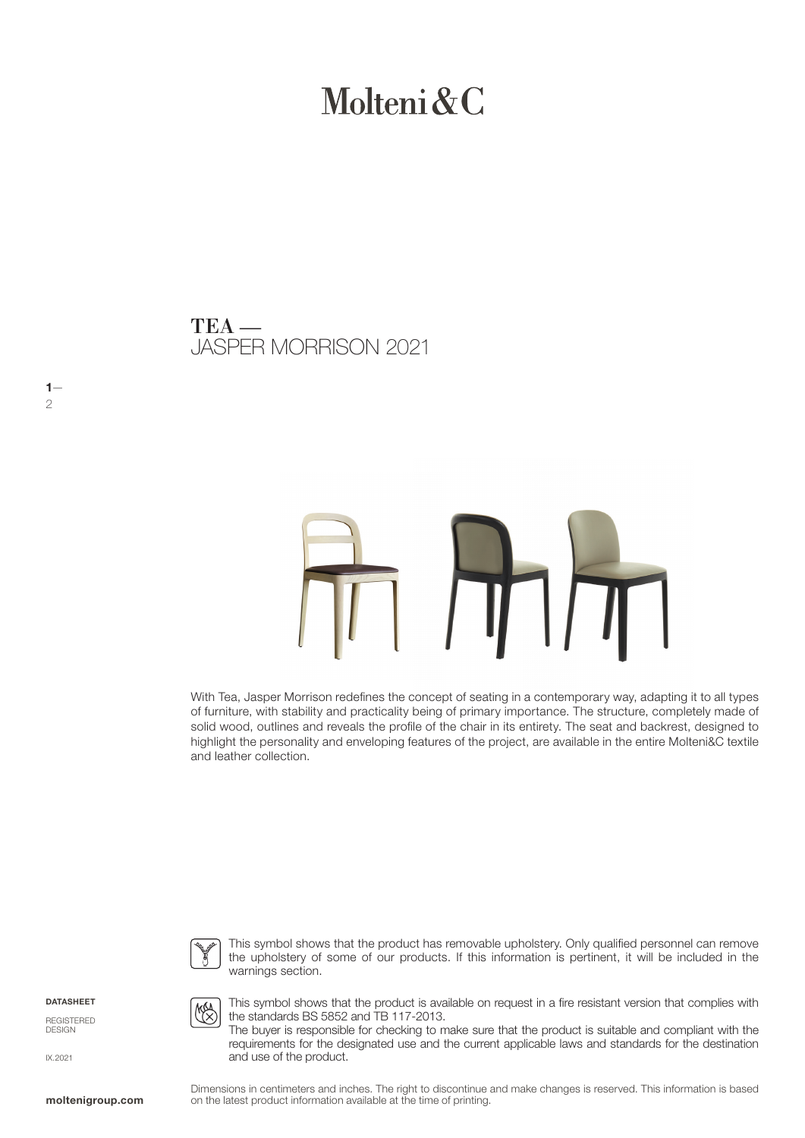# Molteni  $\&C$

JASPER MORRISON 2021 TEA —

# TH

With Tea, Jasper Morrison redefines the concept of seating in a contemporary way, adapting it to all types of furniture, with stability and practicality being of primary importance. The structure, completely made of solid wood, outlines and reveals the profile of the chair in its entirety. The seat and backrest, designed to highlight the personality and enveloping features of the project, are available in the entire Molteni&C textile and leather collection.



**MAA** 

the standards BS 5852 and TB 117-2013.

This symbol shows that the product has removable upholstery. Only qualified personnel can remove the upholstery of some of our products. If this information is pertinent, it will be included in the warnings section.

This symbol shows that the product is available on request in a fire resistant version that complies with

The buyer is responsible for checking to make sure that the product is suitable and compliant with the

DATASHEET

 $1-$ 2

REGISTERED DESIGN

IX.2021

requirements for the designated use and the current applicable laws and standards for the destination and use of the product.

Dimensions in centimeters and inches. The right to discontinue and make changes is reserved. This information is based on the latest product information available at the time of printing.